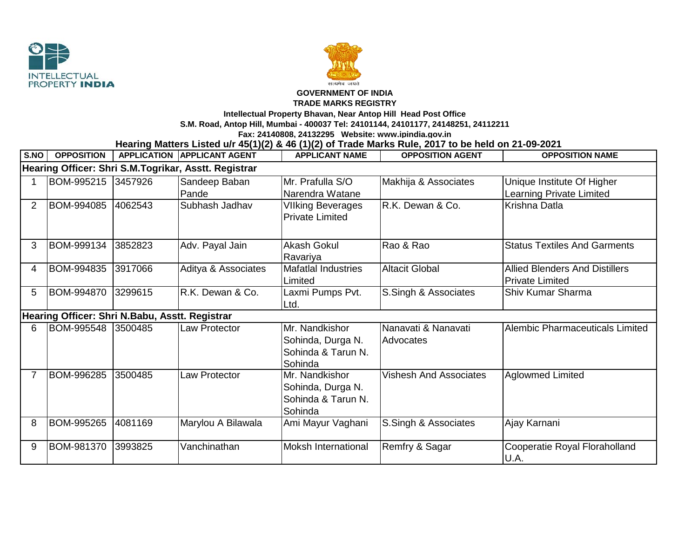



## **GOVERNMENT OF INDIA**

## **TRADE MARKS REGISTRY**

**Intellectual Property Bhavan, Near Antop Hill Head Post Office**

**S.M. Road, Antop Hill, Mumbai - 400037 Tel: 24101144, 24101177, 24148251, 24112211**

**Fax: 24140808, 24132295 Website: www.ipindia.gov.in**

**Hearing Matters Listed u/r 45(1)(2) & 46 (1)(2) of Trade Marks Rule, 2017 to be held on 21-09-2021** 

| S.NO                                                 | <b>OPPOSITION</b> |         | <b>APPLICATION APPLICANT AGENT</b> | <b>APPLICANT NAME</b>      | <b>OPPOSITION AGENT</b>       | <b>OPPOSITION NAME</b>                |  |  |  |  |
|------------------------------------------------------|-------------------|---------|------------------------------------|----------------------------|-------------------------------|---------------------------------------|--|--|--|--|
| Hearing Officer: Shri S.M.Togrikar, Asstt. Registrar |                   |         |                                    |                            |                               |                                       |  |  |  |  |
|                                                      | BOM-995215        | 3457926 | Sandeep Baban                      | Mr. Prafulla S/O           | Makhija & Associates          | Unique Institute Of Higher            |  |  |  |  |
|                                                      |                   |         | Pande                              | Narendra Watane            |                               | Learning Private Limited              |  |  |  |  |
| $\overline{2}$                                       | BOM-994085        | 4062543 | Subhash Jadhav                     | <b>VIIking Beverages</b>   | R.K. Dewan & Co.              | Krishna Datla                         |  |  |  |  |
|                                                      |                   |         |                                    | <b>Private Limited</b>     |                               |                                       |  |  |  |  |
|                                                      |                   |         |                                    |                            |                               |                                       |  |  |  |  |
| 3                                                    | BOM-999134        | 3852823 | Adv. Payal Jain                    | Akash Gokul                | Rao & Rao                     | <b>Status Textiles And Garments</b>   |  |  |  |  |
|                                                      |                   |         |                                    | Ravariya                   |                               |                                       |  |  |  |  |
| 4                                                    | BOM-994835        | 3917066 | Aditya & Associates                | <b>Mafatlal Industries</b> | <b>Altacit Global</b>         | <b>Allied Blenders And Distillers</b> |  |  |  |  |
|                                                      |                   |         |                                    | Limited                    |                               | <b>Private Limited</b>                |  |  |  |  |
| 5                                                    | BOM-994870        | 3299615 | R.K. Dewan & Co.                   | Laxmi Pumps Pvt.           | S.Singh & Associates          | <b>Shiv Kumar Sharma</b>              |  |  |  |  |
|                                                      |                   |         |                                    | Ltd.                       |                               |                                       |  |  |  |  |
| Hearing Officer: Shri N.Babu, Asstt. Registrar       |                   |         |                                    |                            |                               |                                       |  |  |  |  |
| 6                                                    | BOM-995548        | 3500485 | <b>Law Protector</b>               | Mr. Nandkishor             | Nanavati & Nanavati           | Alembic Pharmaceuticals Limited       |  |  |  |  |
|                                                      |                   |         |                                    | Sohinda, Durga N.          | Advocates                     |                                       |  |  |  |  |
|                                                      |                   |         |                                    | Sohinda & Tarun N.         |                               |                                       |  |  |  |  |
|                                                      |                   |         |                                    | Sohinda                    |                               |                                       |  |  |  |  |
| 7                                                    | BOM-996285        | 3500485 | Law Protector                      | Mr. Nandkishor             | <b>Vishesh And Associates</b> | <b>Aglowmed Limited</b>               |  |  |  |  |
|                                                      |                   |         |                                    | Sohinda, Durga N.          |                               |                                       |  |  |  |  |
|                                                      |                   |         |                                    | Sohinda & Tarun N.         |                               |                                       |  |  |  |  |
|                                                      |                   |         |                                    | Sohinda                    |                               |                                       |  |  |  |  |
| 8                                                    | BOM-995265        | 4081169 | Marylou A Bilawala                 | Ami Mayur Vaghani          | S.Singh & Associates          | Ajay Karnani                          |  |  |  |  |
|                                                      |                   |         |                                    |                            |                               |                                       |  |  |  |  |
| 9                                                    | BOM-981370        | 3993825 | Vanchinathan                       | <b>Moksh International</b> | Remfry & Sagar                | Cooperatie Royal Floraholland         |  |  |  |  |
|                                                      |                   |         |                                    |                            |                               | U.A.                                  |  |  |  |  |